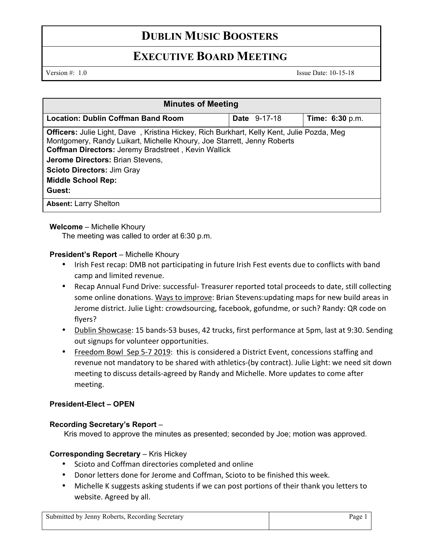# **DUBLIN MUSIC BOOSTERS**

## **EXECUTIVE BOARD MEETING**

Version #: 1.0 Issue Date: 10-15-18

| <b>Minutes of Meeting</b>                                                                                                                                                                                                                                                                                                                                 |                     |                        |
|-----------------------------------------------------------------------------------------------------------------------------------------------------------------------------------------------------------------------------------------------------------------------------------------------------------------------------------------------------------|---------------------|------------------------|
| Location: Dublin Coffman Band Room                                                                                                                                                                                                                                                                                                                        | <b>Date</b> 9-17-18 | <b>Time: 6:30 p.m.</b> |
| <b>Officers:</b> Julie Light, Dave, Kristina Hickey, Rich Burkhart, Kelly Kent, Julie Pozda, Meg<br>Montgomery, Randy Luikart, Michelle Khoury, Joe Starrett, Jenny Roberts<br><b>Coffman Directors: Jeremy Bradstreet, Kevin Wallick</b><br>Jerome Directors: Brian Stevens,<br><b>Scioto Directors: Jim Gray</b><br><b>Middle School Rep:</b><br>Guest: |                     |                        |
| <b>Absent: Larry Shelton</b>                                                                                                                                                                                                                                                                                                                              |                     |                        |

### **Welcome** – Michelle Khoury

The meeting was called to order at 6:30 p.m.

### **President's Report – Michelle Khoury**

- Irish Fest recap: DMB not participating in future Irish Fest events due to conflicts with band camp and limited revenue.
- Recap Annual Fund Drive: successful- Treasurer reported total proceeds to date, still collecting some online donations. Ways to improve: Brian Stevens:updating maps for new build areas in Jerome district. Julie Light: crowdsourcing, facebook, gofundme, or such? Randy: QR code on flyers?
- Dublin Showcase: 15 bands-53 buses, 42 trucks, first performance at 5pm, last at 9:30. Sending out signups for volunteer opportunities.
- Freedom Bowl Sep 5-7 2019: this is considered a District Event, concessions staffing and revenue not mandatory to be shared with athletics-(by contract). Julie Light: we need sit down meeting to discuss details-agreed by Randy and Michelle. More updates to come after meeting.

## **President-Elect – OPEN**

## **Recording Secretary's Report** –

Kris moved to approve the minutes as presented; seconded by Joe; motion was approved.

## **Corresponding Secretary – Kris Hickey**

- Scioto and Coffman directories completed and online
- Donor letters done for Jerome and Coffman, Scioto to be finished this week.
- Michelle K suggests asking students if we can post portions of their thank you letters to website. Agreed by all.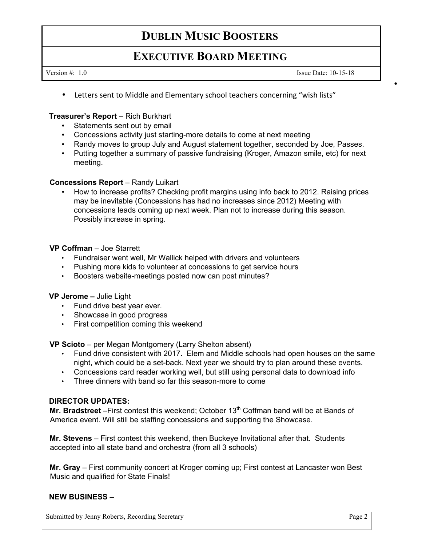# **DUBLIN MUSIC BOOSTERS**

## **EXECUTIVE BOARD MEETING**

Version #: 1.0 Issue Date: 10-15-18

•

• Letters sent to Middle and Elementary school teachers concerning "wish lists"

#### **Treasurer's Report** – Rich Burkhart

- Statements sent out by email
- Concessions activity just starting-more details to come at next meeting
- Randy moves to group July and August statement together, seconded by Joe, Passes.
- Putting together a summary of passive fundraising (Kroger, Amazon smile, etc) for next meeting.

#### **Concessions Report** – Randy Luikart

• How to increase profits? Checking profit margins using info back to 2012. Raising prices may be inevitable (Concessions has had no increases since 2012) Meeting with concessions leads coming up next week. Plan not to increase during this season. Possibly increase in spring.

#### **VP Coffman** – Joe Starrett

- Fundraiser went well, Mr Wallick helped with drivers and volunteers
- Pushing more kids to volunteer at concessions to get service hours
- Boosters website-meetings posted now can post minutes?

#### **VP Jerome –** Julie Light

- Fund drive best year ever.
- Showcase in good progress
- First competition coming this weekend

**VP Scioto** – per Megan Montgomery (Larry Shelton absent)

- Fund drive consistent with 2017. Elem and Middle schools had open houses on the same night, which could be a set-back. Next year we should try to plan around these events.
- Concessions card reader working well, but still using personal data to download info
- Three dinners with band so far this season-more to come

#### **DIRECTOR UPDATES:**

**Mr. Bradstreet** – First contest this weekend; October 13<sup>th</sup> Coffman band will be at Bands of America event. Will still be staffing concessions and supporting the Showcase.

**Mr. Stevens** – First contest this weekend, then Buckeye Invitational after that. Students accepted into all state band and orchestra (from all 3 schools)

**Mr. Gray** – First community concert at Kroger coming up; First contest at Lancaster won Best Music and qualified for State Finals!

#### **NEW BUSINESS –**

| Submitted by Jenny Roberts, Recording Secretary | Page 2 |
|-------------------------------------------------|--------|
|-------------------------------------------------|--------|